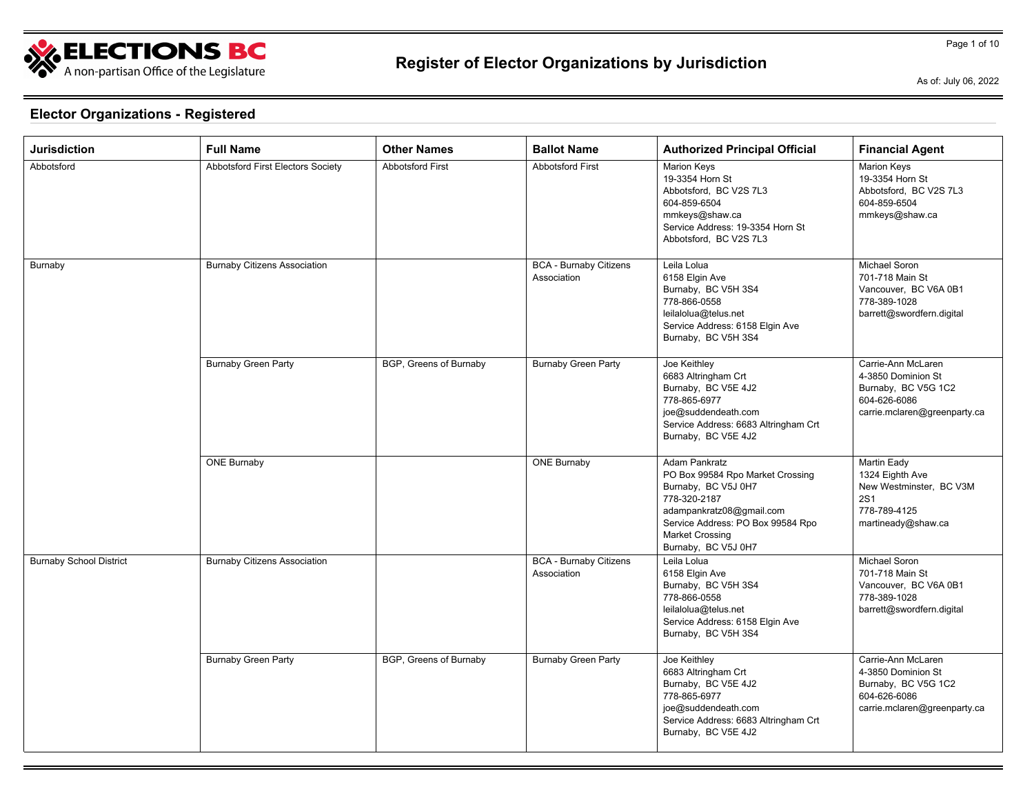

As of: July 06, 2022

| <b>Jurisdiction</b>            | <b>Full Name</b>                    | <b>Other Names</b>      | <b>Ballot Name</b>                           | <b>Authorized Principal Official</b>                                                                                                                                                                              | <b>Financial Agent</b>                                                                                          |
|--------------------------------|-------------------------------------|-------------------------|----------------------------------------------|-------------------------------------------------------------------------------------------------------------------------------------------------------------------------------------------------------------------|-----------------------------------------------------------------------------------------------------------------|
| Abbotsford                     | Abbotsford First Electors Society   | <b>Abbotsford First</b> | <b>Abbotsford First</b>                      | <b>Marion Keys</b><br>19-3354 Horn St<br>Abbotsford, BC V2S 7L3<br>604-859-6504<br>mmkeys@shaw.ca<br>Service Address: 19-3354 Horn St<br>Abbotsford, BC V2S 7L3                                                   | <b>Marion Keys</b><br>19-3354 Horn St<br>Abbotsford, BC V2S 7L3<br>604-859-6504<br>mmkeys@shaw.ca               |
| Burnaby                        | <b>Burnaby Citizens Association</b> |                         | <b>BCA - Burnaby Citizens</b><br>Association | Leila Lolua<br>6158 Elgin Ave<br>Burnaby, BC V5H 3S4<br>778-866-0558<br>leilalolua@telus.net<br>Service Address: 6158 Elgin Ave<br>Burnaby, BC V5H 3S4                                                            | Michael Soron<br>701-718 Main St<br>Vancouver, BC V6A 0B1<br>778-389-1028<br>barrett@swordfern.digital          |
|                                | <b>Burnaby Green Party</b>          | BGP, Greens of Burnaby  | <b>Burnaby Green Party</b>                   | Joe Keithley<br>6683 Altringham Crt<br>Burnaby, BC V5E 4J2<br>778-865-6977<br>joe@suddendeath.com<br>Service Address: 6683 Altringham Crt<br>Burnaby, BC V5E 4J2                                                  | Carrie-Ann McLaren<br>4-3850 Dominion St<br>Burnaby, BC V5G 1C2<br>604-626-6086<br>carrie.mclaren@greenparty.ca |
|                                | <b>ONE Burnaby</b>                  |                         | <b>ONE Burnaby</b>                           | <b>Adam Pankratz</b><br>PO Box 99584 Rpo Market Crossing<br>Burnaby, BC V5J 0H7<br>778-320-2187<br>adampankratz08@gmail.com<br>Service Address: PO Box 99584 Rpo<br><b>Market Crossing</b><br>Burnaby, BC V5J 0H7 | Martin Eady<br>1324 Eighth Ave<br>New Westminster, BC V3M<br><b>2S1</b><br>778-789-4125<br>martineady@shaw.ca   |
| <b>Burnaby School District</b> | <b>Burnaby Citizens Association</b> |                         | <b>BCA - Burnaby Citizens</b><br>Association | Leila Lolua<br>6158 Elgin Ave<br>Burnaby, BC V5H 3S4<br>778-866-0558<br>leilalolua@telus.net<br>Service Address: 6158 Elgin Ave<br>Burnaby, BC V5H 3S4                                                            | Michael Soron<br>701-718 Main St<br>Vancouver, BC V6A 0B1<br>778-389-1028<br>barrett@swordfern.digital          |
|                                | <b>Burnaby Green Party</b>          | BGP, Greens of Burnaby  | <b>Burnaby Green Party</b>                   | Joe Keithley<br>6683 Altringham Crt<br>Burnaby, BC V5E 4J2<br>778-865-6977<br>joe@suddendeath.com<br>Service Address: 6683 Altringham Crt<br>Burnaby, BC V5E 4J2                                                  | Carrie-Ann McLaren<br>4-3850 Dominion St<br>Burnaby, BC V5G 1C2<br>604-626-6086<br>carrie.mclaren@greenparty.ca |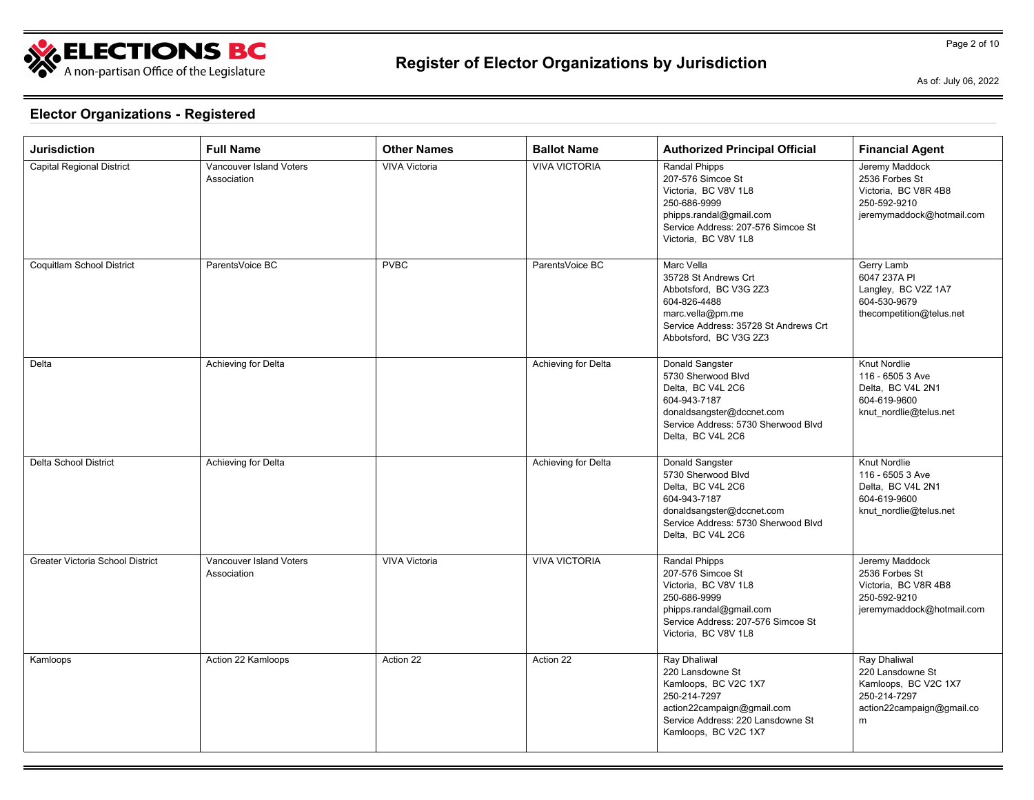

As of: July 06, 2022

Page 2 of 10

| <b>Jurisdiction</b>              | <b>Full Name</b>                       | <b>Other Names</b>   | <b>Ballot Name</b>   | <b>Authorized Principal Official</b>                                                                                                                                | <b>Financial Agent</b>                                                                                     |
|----------------------------------|----------------------------------------|----------------------|----------------------|---------------------------------------------------------------------------------------------------------------------------------------------------------------------|------------------------------------------------------------------------------------------------------------|
| <b>Capital Regional District</b> | Vancouver Island Voters<br>Association | <b>VIVA Victoria</b> | <b>VIVA VICTORIA</b> | Randal Phipps<br>207-576 Simcoe St<br>Victoria. BC V8V 1L8<br>250-686-9999<br>phipps.randal@gmail.com<br>Service Address: 207-576 Simcoe St<br>Victoria. BC V8V 1L8 | Jeremy Maddock<br>2536 Forbes St<br>Victoria, BC V8R 4B8<br>250-592-9210<br>jeremymaddock@hotmail.com      |
| Coquitlam School District        | ParentsVoice BC                        | <b>PVBC</b>          | ParentsVoice BC      | Marc Vella<br>35728 St Andrews Crt<br>Abbotsford, BC V3G 2Z3<br>604-826-4488<br>marc.vella@pm.me<br>Service Address: 35728 St Andrews Crt<br>Abbotsford, BC V3G 2Z3 | Gerry Lamb<br>6047 237A PI<br>Langley, BC V2Z 1A7<br>604-530-9679<br>thecompetition@telus.net              |
| Delta                            | Achieving for Delta                    |                      | Achieving for Delta  | Donald Sangster<br>5730 Sherwood Blvd<br>Delta. BC V4L 2C6<br>604-943-7187<br>donaldsangster@dccnet.com<br>Service Address: 5730 Sherwood Blvd<br>Delta, BC V4L 2C6 | Knut Nordlie<br>116 - 6505 3 Ave<br>Delta. BC V4L 2N1<br>604-619-9600<br>knut nordlie@telus.net            |
| <b>Delta School District</b>     | Achieving for Delta                    |                      | Achieving for Delta  | Donald Sangster<br>5730 Sherwood Blvd<br>Delta, BC V4L 2C6<br>604-943-7187<br>donaldsangster@dccnet.com<br>Service Address: 5730 Sherwood Blvd<br>Delta, BC V4L 2C6 | <b>Knut Nordlie</b><br>116 - 6505 3 Ave<br>Delta, BC V4L 2N1<br>604-619-9600<br>knut_nordlie@telus.net     |
| Greater Victoria School District | Vancouver Island Voters<br>Association | <b>VIVA Victoria</b> | <b>VIVA VICTORIA</b> | Randal Phipps<br>207-576 Simcoe St<br>Victoria, BC V8V 1L8<br>250-686-9999<br>phipps.randal@gmail.com<br>Service Address: 207-576 Simcoe St<br>Victoria, BC V8V 1L8 | Jeremy Maddock<br>2536 Forbes St<br>Victoria, BC V8R 4B8<br>250-592-9210<br>jeremymaddock@hotmail.com      |
| Kamloops                         | Action 22 Kamloops                     | Action 22            | Action 22            | Ray Dhaliwal<br>220 Lansdowne St<br>Kamloops, BC V2C 1X7<br>250-214-7297<br>action22campaign@gmail.com<br>Service Address: 220 Lansdowne St<br>Kamloops, BC V2C 1X7 | Ray Dhaliwal<br>220 Lansdowne St<br>Kamloops, BC V2C 1X7<br>250-214-7297<br>action22campaign@gmail.co<br>m |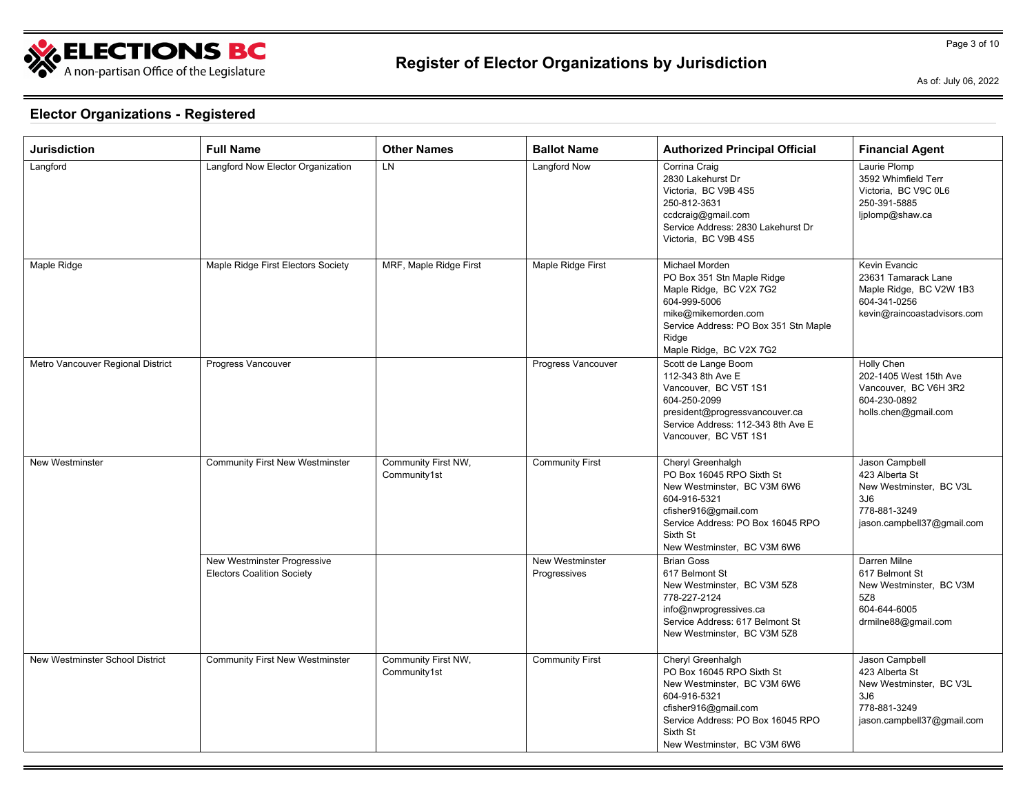

As of: July 06, 2022

Page 3 of 10

| <b>Jurisdiction</b>               | <b>Full Name</b>                                                 | <b>Other Names</b>                  | <b>Ballot Name</b>                     | <b>Authorized Principal Official</b>                                                                                                                                                                  | <b>Financial Agent</b>                                                                                           |
|-----------------------------------|------------------------------------------------------------------|-------------------------------------|----------------------------------------|-------------------------------------------------------------------------------------------------------------------------------------------------------------------------------------------------------|------------------------------------------------------------------------------------------------------------------|
| Langford                          | Langford Now Elector Organization                                | LN                                  | Langford Now                           | Corrina Craig<br>2830 Lakehurst Dr<br>Victoria. BC V9B 4S5<br>250-812-3631<br>ccdcraig@gmail.com<br>Service Address: 2830 Lakehurst Dr<br>Victoria. BC V9B 4S5                                        | Laurie Plomp<br>3592 Whimfield Terr<br>Victoria, BC V9C 0L6<br>250-391-5885<br>ljplomp@shaw.ca                   |
| Maple Ridge                       | Maple Ridge First Electors Society                               | MRF, Maple Ridge First              | Maple Ridge First                      | Michael Morden<br>PO Box 351 Stn Maple Ridge<br>Maple Ridge, BC V2X 7G2<br>604-999-5006<br>mike@mikemorden.com<br>Service Address: PO Box 351 Stn Maple<br>Ridge<br>Maple Ridge, BC V2X 7G2           | Kevin Evancic<br>23631 Tamarack Lane<br>Maple Ridge, BC V2W 1B3<br>604-341-0256<br>kevin@raincoastadvisors.com   |
| Metro Vancouver Regional District | Progress Vancouver                                               |                                     | Progress Vancouver                     | Scott de Lange Boom<br>112-343 8th Ave E<br>Vancouver, BC V5T 1S1<br>604-250-2099<br>president@progressvancouver.ca<br>Service Address: 112-343 8th Ave E<br>Vancouver, BC V5T 1S1                    | Holly Chen<br>202-1405 West 15th Ave<br>Vancouver. BC V6H 3R2<br>604-230-0892<br>holls.chen@gmail.com            |
| <b>New Westminster</b>            | <b>Community First New Westminster</b>                           | Community First NW,<br>Community1st | <b>Community First</b>                 | Cheryl Greenhalgh<br>PO Box 16045 RPO Sixth St<br>New Westminster, BC V3M 6W6<br>604-916-5321<br>cfisher916@gmail.com<br>Service Address: PO Box 16045 RPO<br>Sixth St<br>New Westminster, BC V3M 6W6 | Jason Campbell<br>423 Alberta St<br>New Westminster, BC V3L<br>3J6<br>778-881-3249<br>jason.campbell37@gmail.com |
|                                   | New Westminster Progressive<br><b>Electors Coalition Society</b> |                                     | <b>New Westminster</b><br>Progressives | <b>Brian Goss</b><br>617 Belmont St<br>New Westminster, BC V3M 5Z8<br>778-227-2124<br>info@nwprogressives.ca<br>Service Address: 617 Belmont St<br>New Westminster, BC V3M 5Z8                        | Darren Milne<br>617 Belmont St<br>New Westminster, BC V3M<br>5Z8<br>604-644-6005<br>drmilne88@gmail.com          |
| New Westminster School District   | <b>Community First New Westminster</b>                           | Community First NW,<br>Community1st | <b>Community First</b>                 | Cheryl Greenhalgh<br>PO Box 16045 RPO Sixth St<br>New Westminster, BC V3M 6W6<br>604-916-5321<br>cfisher916@gmail.com<br>Service Address: PO Box 16045 RPO<br>Sixth St<br>New Westminster, BC V3M 6W6 | Jason Campbell<br>423 Alberta St<br>New Westminster, BC V3L<br>3J6<br>778-881-3249<br>jason.campbell37@gmail.com |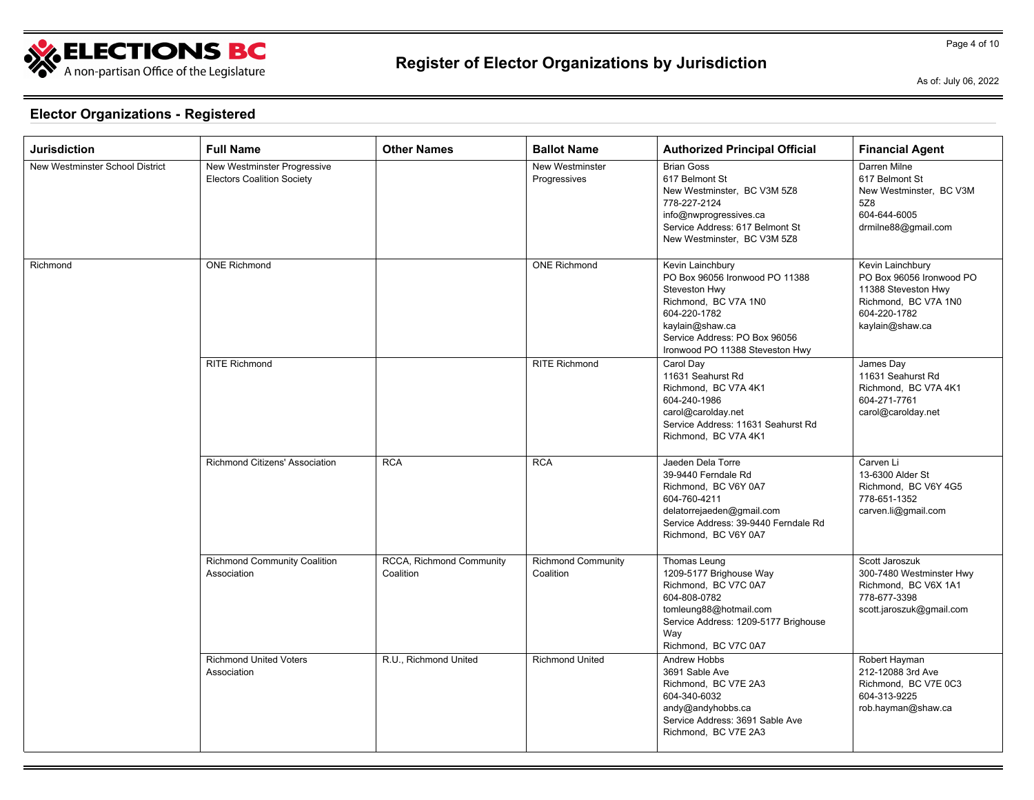

As of: July 06, 2022

| Jurisdiction                    | <b>Full Name</b>                                                 | <b>Other Names</b>                    | <b>Ballot Name</b>                     | <b>Authorized Principal Official</b>                                                                                                                                                               | <b>Financial Agent</b>                                                                                                         |
|---------------------------------|------------------------------------------------------------------|---------------------------------------|----------------------------------------|----------------------------------------------------------------------------------------------------------------------------------------------------------------------------------------------------|--------------------------------------------------------------------------------------------------------------------------------|
| New Westminster School District | New Westminster Progressive<br><b>Electors Coalition Society</b> |                                       | New Westminster<br>Progressives        | <b>Brian Goss</b><br>617 Belmont St<br>New Westminster, BC V3M 5Z8<br>778-227-2124<br>info@nwprogressives.ca<br>Service Address: 617 Belmont St<br>New Westminster, BC V3M 5Z8                     | Darren Milne<br>617 Belmont St<br>New Westminster, BC V3M<br>5Z8<br>604-644-6005<br>drmilne88@gmail.com                        |
| Richmond                        | <b>ONE Richmond</b>                                              |                                       | <b>ONE Richmond</b>                    | Kevin Lainchbury<br>PO Box 96056 Ironwood PO 11388<br>Steveston Hwy<br>Richmond, BC V7A 1N0<br>604-220-1782<br>kaylain@shaw.ca<br>Service Address: PO Box 96056<br>Ironwood PO 11388 Steveston Hwy | Kevin Lainchbury<br>PO Box 96056 Ironwood PO<br>11388 Steveston Hwy<br>Richmond, BC V7A 1N0<br>604-220-1782<br>kaylain@shaw.ca |
|                                 | <b>RITE Richmond</b>                                             |                                       | <b>RITE Richmond</b>                   | Carol Day<br>11631 Seahurst Rd<br>Richmond, BC V7A 4K1<br>604-240-1986<br>carol@carolday.net<br>Service Address: 11631 Seahurst Rd<br>Richmond, BC V7A 4K1                                         | James Day<br>11631 Seahurst Rd<br>Richmond, BC V7A 4K1<br>604-271-7761<br>carol@carolday.net                                   |
|                                 | Richmond Citizens' Association                                   | <b>RCA</b>                            | <b>RCA</b>                             | Jaeden Dela Torre<br>39-9440 Ferndale Rd<br>Richmond, BC V6Y 0A7<br>604-760-4211<br>delatorrejaeden@gmail.com<br>Service Address: 39-9440 Ferndale Rd<br>Richmond, BC V6Y 0A7                      | Carven Li<br>13-6300 Alder St<br>Richmond, BC V6Y 4G5<br>778-651-1352<br>carven.li@gmail.com                                   |
|                                 | <b>Richmond Community Coalition</b><br>Association               | RCCA, Richmond Community<br>Coalition | <b>Richmond Community</b><br>Coalition | Thomas Leung<br>1209-5177 Brighouse Way<br>Richmond, BC V7C 0A7<br>604-808-0782<br>tomleung88@hotmail.com<br>Service Address: 1209-5177 Brighouse<br>Way<br>Richmond, BC V7C 0A7                   | Scott Jaroszuk<br>300-7480 Westminster Hwy<br>Richmond, BC V6X 1A1<br>778-677-3398<br>scott.jaroszuk@gmail.com                 |
|                                 | <b>Richmond United Voters</b><br>Association                     | R.U., Richmond United                 | <b>Richmond United</b>                 | <b>Andrew Hobbs</b><br>3691 Sable Ave<br>Richmond, BC V7E 2A3<br>604-340-6032<br>andy@andyhobbs.ca<br>Service Address: 3691 Sable Ave<br>Richmond, BC V7E 2A3                                      | Robert Hayman<br>212-12088 3rd Ave<br>Richmond, BC V7E 0C3<br>604-313-9225<br>rob.hayman@shaw.ca                               |

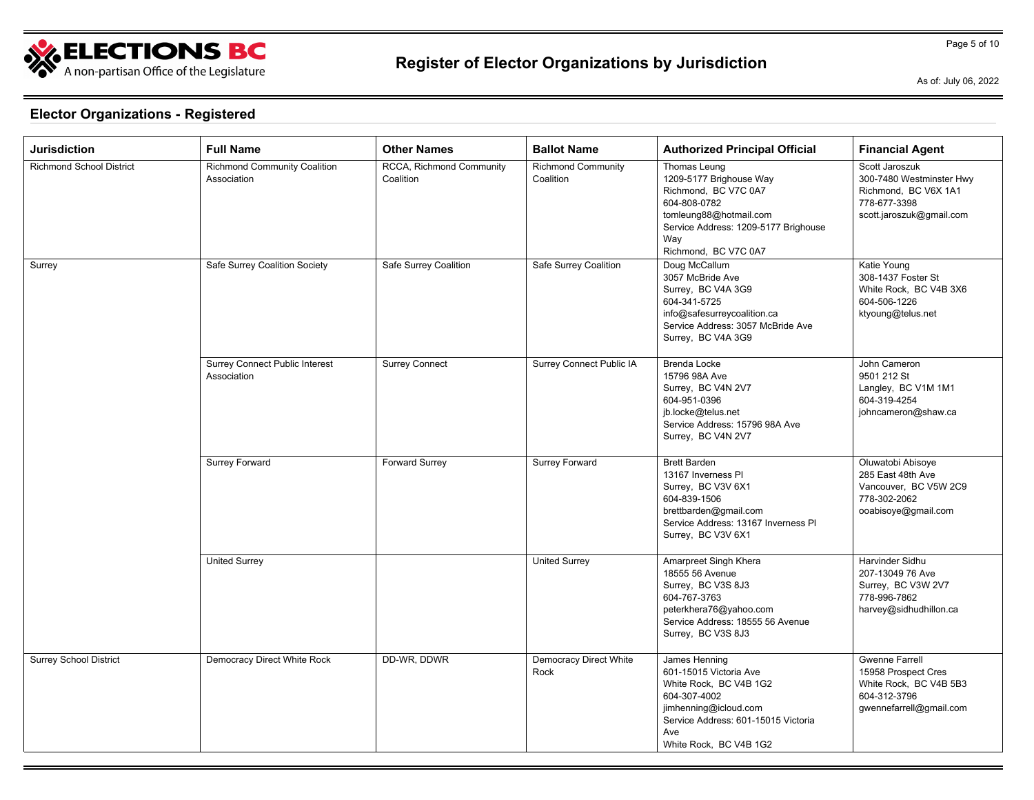

As of: July 06, 2022

| <b>Jurisdiction</b>           | <b>Full Name</b>                                     | <b>Other Names</b>                    | <b>Ballot Name</b>                     | <b>Authorized Principal Official</b>                                                                                                                                               | <b>Financial Agent</b>                                                                                            |
|-------------------------------|------------------------------------------------------|---------------------------------------|----------------------------------------|------------------------------------------------------------------------------------------------------------------------------------------------------------------------------------|-------------------------------------------------------------------------------------------------------------------|
| Richmond School District      | <b>Richmond Community Coalition</b><br>Association   | RCCA, Richmond Community<br>Coalition | <b>Richmond Community</b><br>Coalition | Thomas Leung<br>1209-5177 Brighouse Way<br>Richmond, BC V7C 0A7<br>604-808-0782<br>tomleung88@hotmail.com<br>Service Address: 1209-5177 Brighouse<br>Way<br>Richmond, BC V7C 0A7   | Scott Jaroszuk<br>300-7480 Westminster Hwy<br>Richmond, BC V6X 1A1<br>778-677-3398<br>scott.jaroszuk@gmail.com    |
| Surrey                        | Safe Surrey Coalition Society                        | Safe Surrey Coalition                 | Safe Surrey Coalition                  | Doug McCallum<br>3057 McBride Ave<br>Surrey, BC V4A 3G9<br>604-341-5725<br>info@safesurreycoalition.ca<br>Service Address: 3057 McBride Ave<br>Surrey, BC V4A 3G9                  | Katie Young<br>308-1437 Foster St<br>White Rock, BC V4B 3X6<br>604-506-1226<br>ktyoung@telus.net                  |
|                               | <b>Surrey Connect Public Interest</b><br>Association | <b>Surrey Connect</b>                 | <b>Surrey Connect Public IA</b>        | Brenda Locke<br>15796 98A Ave<br>Surrey, BC V4N 2V7<br>604-951-0396<br>jb.locke@telus.net<br>Service Address: 15796 98A Ave<br>Surrey, BC V4N 2V7                                  | John Cameron<br>9501 212 St<br>Langley, BC V1M 1M1<br>604-319-4254<br>johncameron@shaw.ca                         |
|                               | Surrey Forward                                       | <b>Forward Surrey</b>                 | Surrey Forward                         | <b>Brett Barden</b><br>13167 Inverness PI<br>Surrey, BC V3V 6X1<br>604-839-1506<br>brettbarden@gmail.com<br>Service Address: 13167 Inverness PI<br>Surrey, BC V3V 6X1              | Oluwatobi Abisoye<br>285 East 48th Ave<br>Vancouver, BC V5W 2C9<br>778-302-2062<br>ooabisoye@gmail.com            |
|                               | <b>United Surrey</b>                                 |                                       | <b>United Surrey</b>                   | Amarpreet Singh Khera<br>18555 56 Avenue<br>Surrey, BC V3S 8J3<br>604-767-3763<br>peterkhera76@yahoo.com<br>Service Address: 18555 56 Avenue<br>Surrey, BC V3S 8J3                 | Harvinder Sidhu<br>207-13049 76 Ave<br>Surrey, BC V3W 2V7<br>778-996-7862<br>harvey@sidhudhillon.ca               |
| <b>Surrey School District</b> | Democracy Direct White Rock                          | DD-WR, DDWR                           | <b>Democracy Direct White</b><br>Rock  | James Henning<br>601-15015 Victoria Ave<br>White Rock, BC V4B 1G2<br>604-307-4002<br>jimhenning@icloud.com<br>Service Address: 601-15015 Victoria<br>Ave<br>White Rock, BC V4B 1G2 | <b>Gwenne Farrell</b><br>15958 Prospect Cres<br>White Rock, BC V4B 5B3<br>604-312-3796<br>gwennefarrell@gmail.com |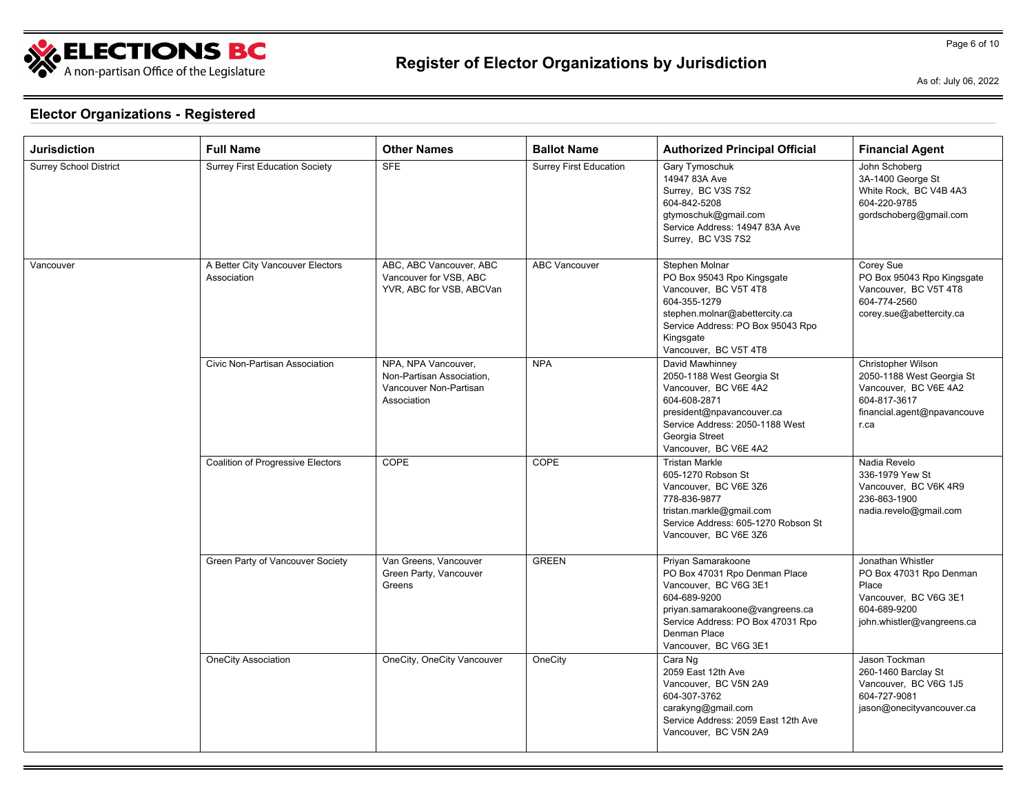

As of: July 06, 2022

| Jurisdiction                  | <b>Full Name</b>                                | <b>Other Names</b>                                                                        | <b>Ballot Name</b>            | <b>Authorized Principal Official</b>                                                                                                                                                                          | <b>Financial Agent</b>                                                                                                          |
|-------------------------------|-------------------------------------------------|-------------------------------------------------------------------------------------------|-------------------------------|---------------------------------------------------------------------------------------------------------------------------------------------------------------------------------------------------------------|---------------------------------------------------------------------------------------------------------------------------------|
| <b>Surrey School District</b> | <b>Surrey First Education Society</b>           | <b>SFE</b>                                                                                | <b>Surrey First Education</b> | Gary Tymoschuk<br>14947 83A Ave<br>Surrey, BC V3S 7S2<br>604-842-5208<br>gtymoschuk@gmail.com<br>Service Address: 14947 83A Ave<br>Surrey, BC V3S 7S2                                                         | John Schoberg<br>3A-1400 George St<br>White Rock, BC V4B 4A3<br>604-220-9785<br>gordschoberg@gmail.com                          |
| Vancouver                     | A Better City Vancouver Electors<br>Association | ABC, ABC Vancouver, ABC<br>Vancouver for VSB, ABC<br>YVR, ABC for VSB, ABCVan             | <b>ABC Vancouver</b>          | Stephen Molnar<br>PO Box 95043 Rpo Kingsgate<br>Vancouver, BC V5T 4T8<br>604-355-1279<br>stephen.molnar@abettercity.ca<br>Service Address: PO Box 95043 Rpo<br>Kingsgate<br>Vancouver, BC V5T 4T8             | Corey Sue<br>PO Box 95043 Rpo Kingsgate<br>Vancouver, BC V5T 4T8<br>604-774-2560<br>corey.sue@abettercity.ca                    |
|                               | Civic Non-Partisan Association                  | NPA, NPA Vancouver,<br>Non-Partisan Association,<br>Vancouver Non-Partisan<br>Association | <b>NPA</b>                    | David Mawhinney<br>2050-1188 West Georgia St<br>Vancouver, BC V6E 4A2<br>604-608-2871<br>president@npavancouver.ca<br>Service Address: 2050-1188 West<br>Georgia Street<br>Vancouver, BC V6E 4A2              | Christopher Wilson<br>2050-1188 West Georgia St<br>Vancouver, BC V6E 4A2<br>604-817-3617<br>financial.agent@npavancouve<br>r.ca |
|                               | <b>Coalition of Progressive Electors</b>        | COPE                                                                                      | COPE                          | <b>Tristan Markle</b><br>605-1270 Robson St<br>Vancouver, BC V6E 3Z6<br>778-836-9877<br>tristan.markle@gmail.com<br>Service Address: 605-1270 Robson St<br>Vancouver, BC V6E 3Z6                              | Nadia Revelo<br>336-1979 Yew St<br>Vancouver, BC V6K 4R9<br>236-863-1900<br>nadia.revelo@gmail.com                              |
|                               | Green Party of Vancouver Society                | Van Greens, Vancouver<br>Green Party, Vancouver<br>Greens                                 | <b>GREEN</b>                  | Priyan Samarakoone<br>PO Box 47031 Rpo Denman Place<br>Vancouver, BC V6G 3E1<br>604-689-9200<br>priyan.samarakoone@vangreens.ca<br>Service Address: PO Box 47031 Rpo<br>Denman Place<br>Vancouver, BC V6G 3E1 | Jonathan Whistler<br>PO Box 47031 Rpo Denman<br>Place<br>Vancouver, BC V6G 3E1<br>604-689-9200<br>john.whistler@vangreens.ca    |
|                               | <b>OneCity Association</b>                      | OneCity, OneCity Vancouver                                                                | OneCity                       | Cara Ng<br>2059 East 12th Ave<br>Vancouver, BC V5N 2A9<br>604-307-3762<br>carakyng@gmail.com<br>Service Address: 2059 East 12th Ave<br>Vancouver, BC V5N 2A9                                                  | Jason Tockman<br>260-1460 Barclay St<br>Vancouver, BC V6G 1J5<br>604-727-9081<br>jason@onecityvancouver.ca                      |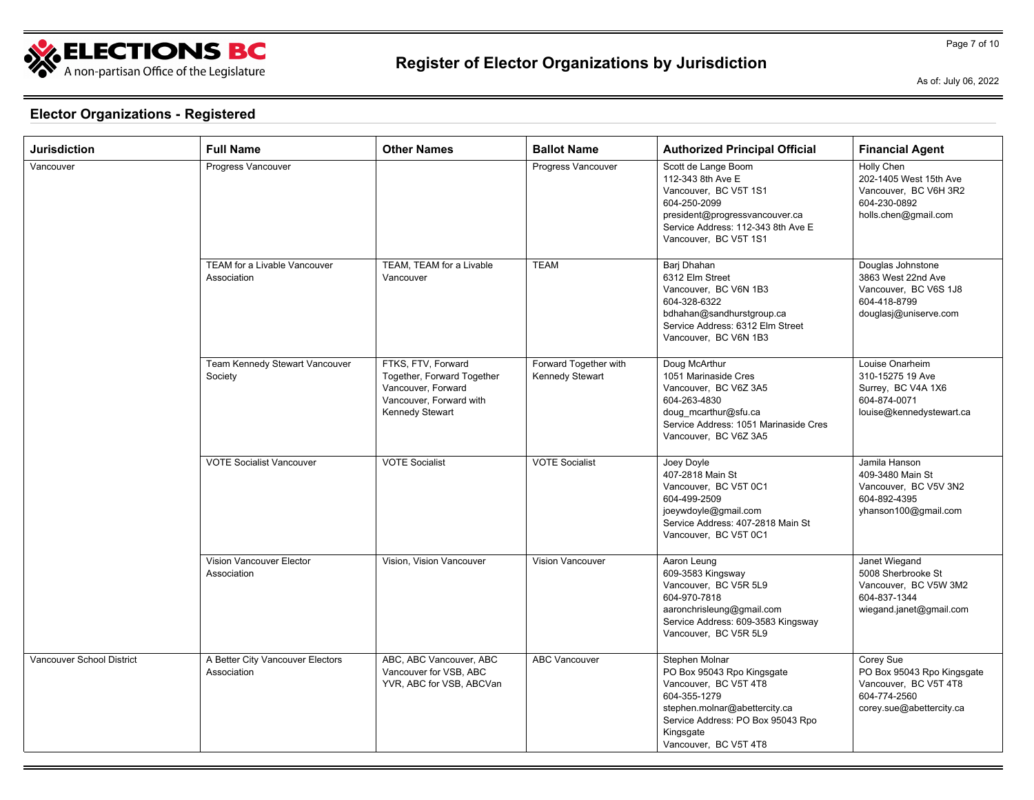

As of: July 06, 2022

| Jurisdiction              | <b>Full Name</b>                                   | <b>Other Names</b>                                                                                                          | <b>Ballot Name</b>                       | <b>Authorized Principal Official</b>                                                                                                                                                              | <b>Financial Agent</b>                                                                                       |
|---------------------------|----------------------------------------------------|-----------------------------------------------------------------------------------------------------------------------------|------------------------------------------|---------------------------------------------------------------------------------------------------------------------------------------------------------------------------------------------------|--------------------------------------------------------------------------------------------------------------|
| Vancouver                 | Progress Vancouver                                 |                                                                                                                             | Progress Vancouver                       | Scott de Lange Boom<br>112-343 8th Ave E<br>Vancouver. BC V5T 1S1<br>604-250-2099<br>president@progressvancouver.ca<br>Service Address: 112-343 8th Ave E<br>Vancouver, BC V5T 1S1                | Holly Chen<br>202-1405 West 15th Ave<br>Vancouver. BC V6H 3R2<br>604-230-0892<br>holls.chen@gmail.com        |
|                           | <b>TEAM for a Livable Vancouver</b><br>Association | TEAM. TEAM for a Livable<br>Vancouver                                                                                       | <b>TEAM</b>                              | Bari Dhahan<br>6312 Elm Street<br>Vancouver, BC V6N 1B3<br>604-328-6322<br>bdhahan@sandhurstgroup.ca<br>Service Address: 6312 Elm Street<br>Vancouver. BC V6N 1B3                                 | Douglas Johnstone<br>3863 West 22nd Ave<br>Vancouver, BC V6S 1J8<br>604-418-8799<br>douglasj@uniserve.com    |
|                           | Team Kennedy Stewart Vancouver<br>Society          | FTKS, FTV, Forward<br>Together, Forward Together<br>Vancouver, Forward<br>Vancouver, Forward with<br><b>Kennedy Stewart</b> | Forward Together with<br>Kennedy Stewart | Doug McArthur<br>1051 Marinaside Cres<br>Vancouver, BC V6Z 3A5<br>604-263-4830<br>doug_mcarthur@sfu.ca<br>Service Address: 1051 Marinaside Cres<br>Vancouver, BC V6Z 3A5                          | Louise Onarheim<br>310-15275 19 Ave<br>Surrey, BC V4A 1X6<br>604-874-0071<br>louise@kennedystewart.ca        |
|                           | <b>VOTE Socialist Vancouver</b>                    | <b>VOTE Socialist</b>                                                                                                       | <b>VOTE Socialist</b>                    | Joey Doyle<br>407-2818 Main St<br>Vancouver, BC V5T 0C1<br>604-499-2509<br>joeywdoyle@gmail.com<br>Service Address: 407-2818 Main St<br>Vancouver, BC V5T 0C1                                     | Jamila Hanson<br>409-3480 Main St<br>Vancouver, BC V5V 3N2<br>604-892-4395<br>yhanson100@gmail.com           |
|                           | Vision Vancouver Elector<br>Association            | Vision, Vision Vancouver                                                                                                    | Vision Vancouver                         | Aaron Leung<br>609-3583 Kingsway<br>Vancouver, BC V5R 5L9<br>604-970-7818<br>aaronchrisleung@gmail.com<br>Service Address: 609-3583 Kingsway<br>Vancouver, BC V5R 5L9                             | Janet Wiegand<br>5008 Sherbrooke St<br>Vancouver, BC V5W 3M2<br>604-837-1344<br>wiegand.janet@gmail.com      |
| Vancouver School District | A Better City Vancouver Electors<br>Association    | ABC, ABC Vancouver, ABC<br>Vancouver for VSB, ABC<br>YVR, ABC for VSB, ABCVan                                               | <b>ABC Vancouver</b>                     | Stephen Molnar<br>PO Box 95043 Rpo Kingsgate<br>Vancouver, BC V5T 4T8<br>604-355-1279<br>stephen.molnar@abettercity.ca<br>Service Address: PO Box 95043 Rpo<br>Kingsgate<br>Vancouver, BC V5T 4T8 | Corey Sue<br>PO Box 95043 Rpo Kingsgate<br>Vancouver, BC V5T 4T8<br>604-774-2560<br>corey.sue@abettercity.ca |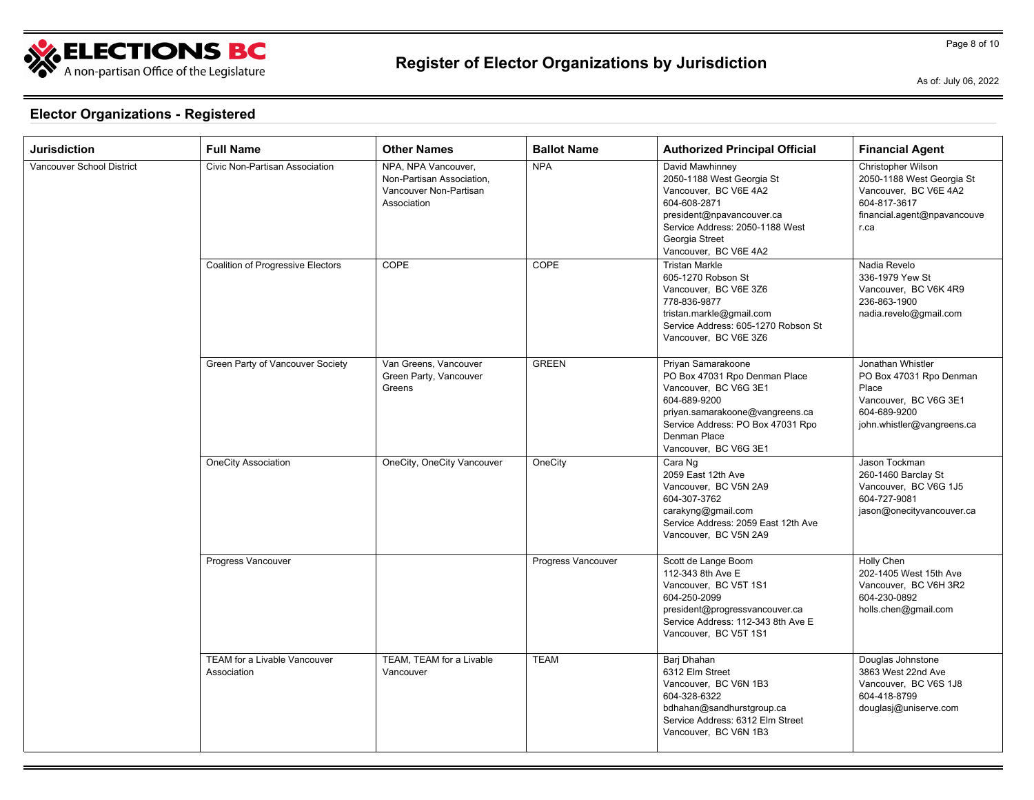

As of: July 06, 2022

Page 8 of 10

| Jurisdiction              | <b>Full Name</b>                            | <b>Other Names</b>                                                                        | <b>Ballot Name</b> | <b>Authorized Principal Official</b>                                                                                                                                                                          | <b>Financial Agent</b>                                                                                                          |
|---------------------------|---------------------------------------------|-------------------------------------------------------------------------------------------|--------------------|---------------------------------------------------------------------------------------------------------------------------------------------------------------------------------------------------------------|---------------------------------------------------------------------------------------------------------------------------------|
| Vancouver School District | Civic Non-Partisan Association              | NPA, NPA Vancouver,<br>Non-Partisan Association,<br>Vancouver Non-Partisan<br>Association | <b>NPA</b>         | David Mawhinney<br>2050-1188 West Georgia St<br>Vancouver, BC V6E 4A2<br>604-608-2871<br>president@npavancouver.ca<br>Service Address: 2050-1188 West<br>Georgia Street<br>Vancouver, BC V6E 4A2              | Christopher Wilson<br>2050-1188 West Georgia St<br>Vancouver, BC V6E 4A2<br>604-817-3617<br>financial.agent@npavancouve<br>r.ca |
|                           | Coalition of Progressive Electors           | COPE                                                                                      | COPE               | <b>Tristan Markle</b><br>605-1270 Robson St<br>Vancouver, BC V6E 3Z6<br>778-836-9877<br>tristan.markle@gmail.com<br>Service Address: 605-1270 Robson St<br>Vancouver. BC V6E 3Z6                              | Nadia Revelo<br>336-1979 Yew St<br>Vancouver, BC V6K 4R9<br>236-863-1900<br>nadia.revelo@gmail.com                              |
|                           | Green Party of Vancouver Society            | Van Greens, Vancouver<br>Green Party, Vancouver<br>Greens                                 | <b>GREEN</b>       | Priyan Samarakoone<br>PO Box 47031 Rpo Denman Place<br>Vancouver, BC V6G 3E1<br>604-689-9200<br>priyan.samarakoone@vangreens.ca<br>Service Address: PO Box 47031 Rpo<br>Denman Place<br>Vancouver, BC V6G 3E1 | Jonathan Whistler<br>PO Box 47031 Rpo Denman<br>Place<br>Vancouver, BC V6G 3E1<br>604-689-9200<br>john.whistler@vangreens.ca    |
|                           | <b>OneCity Association</b>                  | OneCity, OneCity Vancouver                                                                | OneCity            | Cara Ng<br>2059 East 12th Ave<br>Vancouver, BC V5N 2A9<br>604-307-3762<br>carakyng@gmail.com<br>Service Address: 2059 East 12th Ave<br>Vancouver, BC V5N 2A9                                                  | Jason Tockman<br>260-1460 Barclay St<br>Vancouver, BC V6G 1J5<br>604-727-9081<br>jason@onecityvancouver.ca                      |
|                           | Progress Vancouver                          |                                                                                           | Progress Vancouver | Scott de Lange Boom<br>112-343 8th Ave E<br>Vancouver, BC V5T 1S1<br>604-250-2099<br>president@progressvancouver.ca<br>Service Address: 112-343 8th Ave E<br>Vancouver, BC V5T 1S1                            | Holly Chen<br>202-1405 West 15th Ave<br>Vancouver, BC V6H 3R2<br>604-230-0892<br>holls.chen@gmail.com                           |
|                           | TEAM for a Livable Vancouver<br>Association | TEAM, TEAM for a Livable<br>Vancouver                                                     | <b>TEAM</b>        | Barj Dhahan<br>6312 Elm Street<br>Vancouver, BC V6N 1B3<br>604-328-6322<br>bdhahan@sandhurstgroup.ca<br>Service Address: 6312 Elm Street<br>Vancouver, BC V6N 1B3                                             | Douglas Johnstone<br>3863 West 22nd Ave<br>Vancouver, BC V6S 1J8<br>604-418-8799<br>douglasj@uniserve.com                       |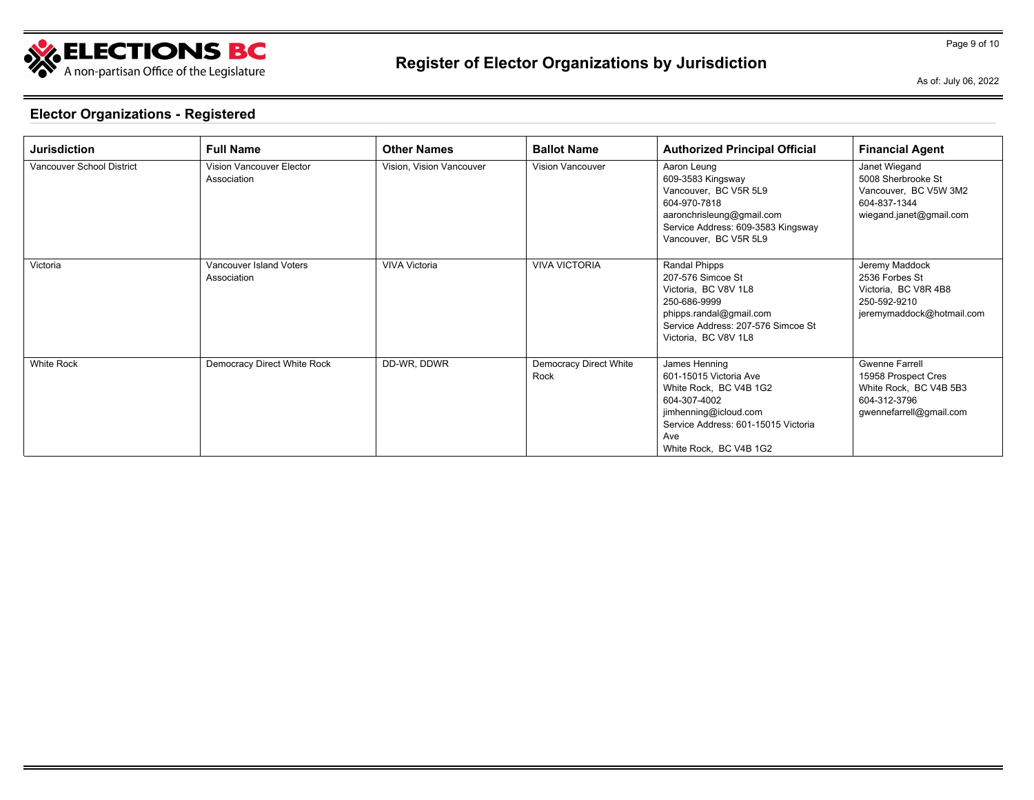

As of: July 06, 2022

| <b>Jurisdiction</b>       | <b>Full Name</b>                        | <b>Other Names</b>       | <b>Ballot Name</b>             | <b>Authorized Principal Official</b>                                                                                                                                               | <b>Financial Agent</b>                                                                                            |
|---------------------------|-----------------------------------------|--------------------------|--------------------------------|------------------------------------------------------------------------------------------------------------------------------------------------------------------------------------|-------------------------------------------------------------------------------------------------------------------|
| Vancouver School District | Vision Vancouver Elector<br>Association | Vision, Vision Vancouver | <b>Vision Vancouver</b>        | Aaron Leung<br>609-3583 Kingsway<br>Vancouver, BC V5R 5L9<br>604-970-7818<br>aaronchrisleung@gmail.com<br>Service Address: 609-3583 Kingsway<br>Vancouver, BC V5R 5L9              | Janet Wiegand<br>5008 Sherbrooke St<br>Vancouver, BC V5W 3M2<br>604-837-1344<br>wiegand.janet@gmail.com           |
| Victoria                  | Vancouver Island Voters<br>Association  | VIVA Victoria            | <b>VIVA VICTORIA</b>           | Randal Phipps<br>207-576 Simcoe St<br>Victoria, BC V8V 1L8<br>250-686-9999<br>phipps.randal@gmail.com<br>Service Address: 207-576 Simcoe St<br>Victoria, BC V8V 1L8                | Jeremy Maddock<br>2536 Forbes St<br>Victoria, BC V8R 4B8<br>250-592-9210<br>jeremymaddock@hotmail.com             |
| <b>White Rock</b>         | Democracy Direct White Rock             | DD-WR, DDWR              | Democracy Direct White<br>Rock | James Henning<br>601-15015 Victoria Ave<br>White Rock, BC V4B 1G2<br>604-307-4002<br>jimhenning@icloud.com<br>Service Address: 601-15015 Victoria<br>Ave<br>White Rock, BC V4B 1G2 | <b>Gwenne Farrell</b><br>15958 Prospect Cres<br>White Rock, BC V4B 5B3<br>604-312-3796<br>gwennefarrell@gmail.com |